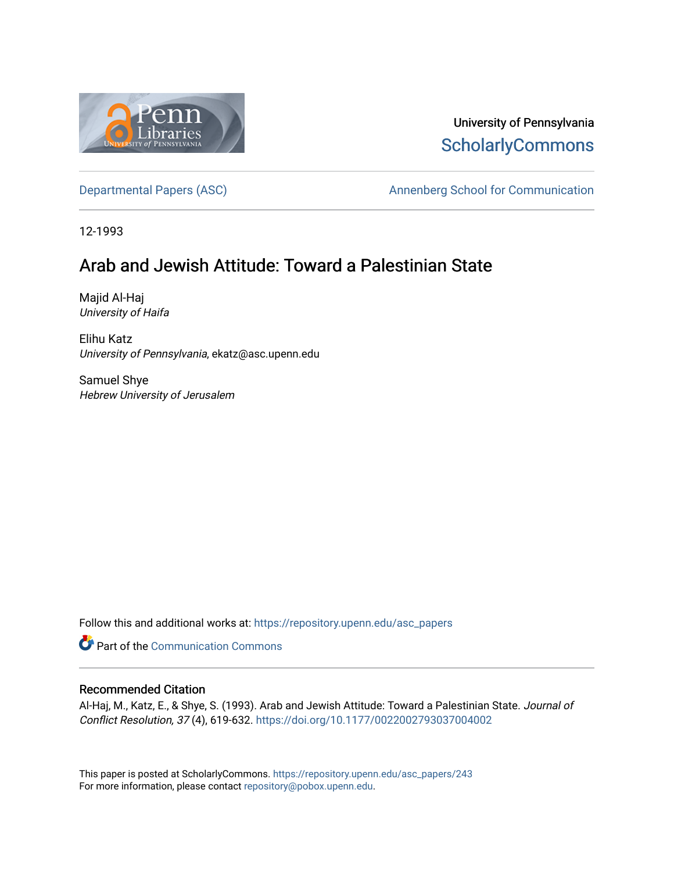

# University of Pennsylvania **ScholarlyCommons**

[Departmental Papers \(ASC\)](https://repository.upenn.edu/asc_papers) and a number of Annenberg School for Communication

12-1993

# Arab and Jewish Attitude: Toward a Palestinian State

Majid Al-Haj University of Haifa

Elihu Katz University of Pennsylvania, ekatz@asc.upenn.edu

Samuel Shye Hebrew University of Jerusalem

Follow this and additional works at: [https://repository.upenn.edu/asc\\_papers](https://repository.upenn.edu/asc_papers?utm_source=repository.upenn.edu%2Fasc_papers%2F243&utm_medium=PDF&utm_campaign=PDFCoverPages)

**Part of the Communication Commons** 

## Recommended Citation

Al-Haj, M., Katz, E., & Shye, S. (1993). Arab and Jewish Attitude: Toward a Palestinian State. Journal of Conflict Resolution, 37 (4), 619-632. <https://doi.org/10.1177/0022002793037004002>

This paper is posted at ScholarlyCommons. [https://repository.upenn.edu/asc\\_papers/243](https://repository.upenn.edu/asc_papers/243)  For more information, please contact [repository@pobox.upenn.edu.](mailto:repository@pobox.upenn.edu)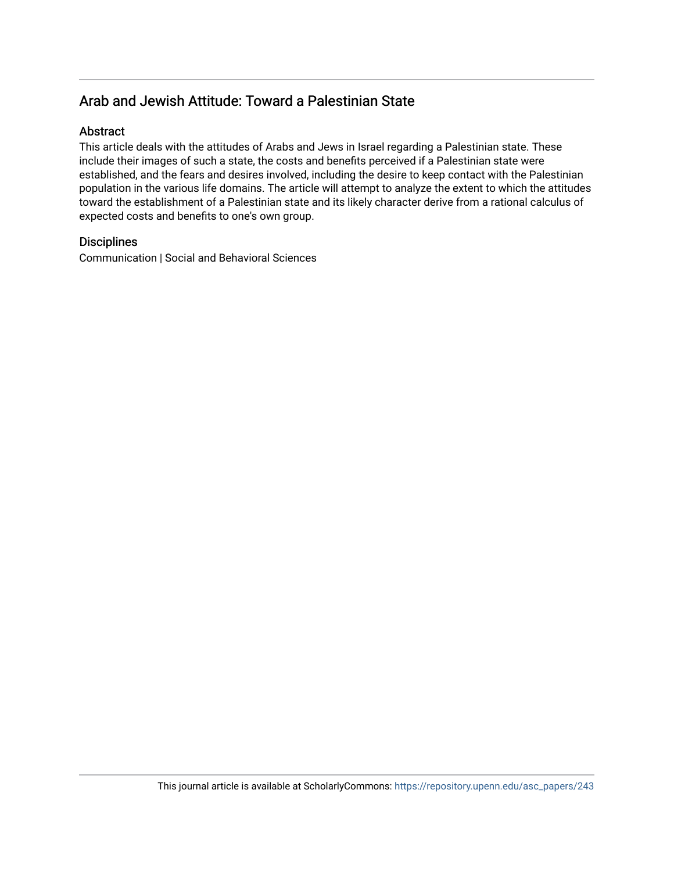## Arab and Jewish Attitude: Toward a Palestinian State

## Abstract

This article deals with the attitudes of Arabs and Jews in Israel regarding a Palestinian state. These include their images of such a state, the costs and benefits perceived if a Palestinian state were established, and the fears and desires involved, including the desire to keep contact with the Palestinian population in the various life domains. The article will attempt to analyze the extent to which the attitudes toward the establishment of a Palestinian state and its likely character derive from a rational calculus of expected costs and benefits to one's own group.

#### **Disciplines**

Communication | Social and Behavioral Sciences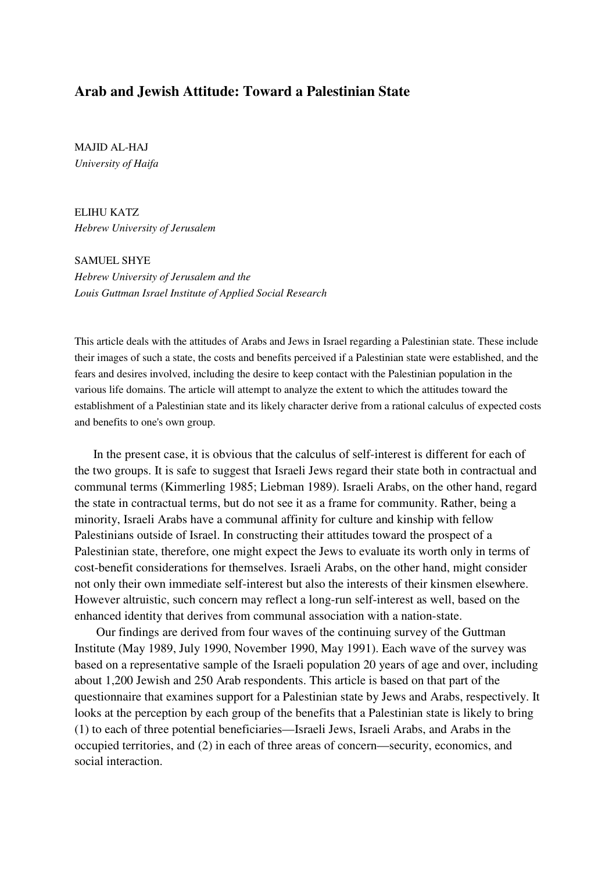## **Arab and Jewish Attitude: Toward a Palestinian State**

MAJID AL-HAJ *University of Haifa* 

ELIHU KATZ *Hebrew University of Jerusalem* 

SAMUEL SHYE *Hebrew University of Jerusalem and the Louis Guttman Israel Institute of Applied Social Research* 

This article deals with the attitudes of Arabs and Jews in Israel regarding a Palestinian state. These include their images of such a state, the costs and benefits perceived if a Palestinian state were established, and the fears and desires involved, including the desire to keep contact with the Palestinian population in the various life domains. The article will attempt to analyze the extent to which the attitudes toward the establishment of a Palestinian state and its likely character derive from a rational calculus of expected costs and benefits to one's own group.

 In the present case, it is obvious that the calculus of self-interest is different for each of the two groups. It is safe to suggest that Israeli Jews regard their state both in contractual and communal terms (Kimmerling 1985; Liebman 1989). Israeli Arabs, on the other hand, regard the state in contractual terms, but do not see it as a frame for community. Rather, being a minority, Israeli Arabs have a communal affinity for culture and kinship with fellow Palestinians outside of Israel. In constructing their attitudes toward the prospect of a Palestinian state, therefore, one might expect the Jews to evaluate its worth only in terms of cost-benefit considerations for themselves. Israeli Arabs, on the other hand, might consider not only their own immediate self-interest but also the interests of their kinsmen elsewhere. However altruistic, such concern may reflect a long-run self-interest as well, based on the enhanced identity that derives from communal association with a nation-state.

Our findings are derived from four waves of the continuing survey of the Guttman Institute (May 1989, July 1990, November 1990, May 1991). Each wave of the survey was based on a representative sample of the Israeli population 20 years of age and over, including about 1,200 Jewish and 250 Arab respondents. This article is based on that part of the questionnaire that examines support for a Palestinian state by Jews and Arabs, respectively. It looks at the perception by each group of the benefits that a Palestinian state is likely to bring (1) to each of three potential beneficiaries—Israeli Jews, Israeli Arabs, and Arabs in the occupied territories, and (2) in each of three areas of concern—security, economics, and social interaction.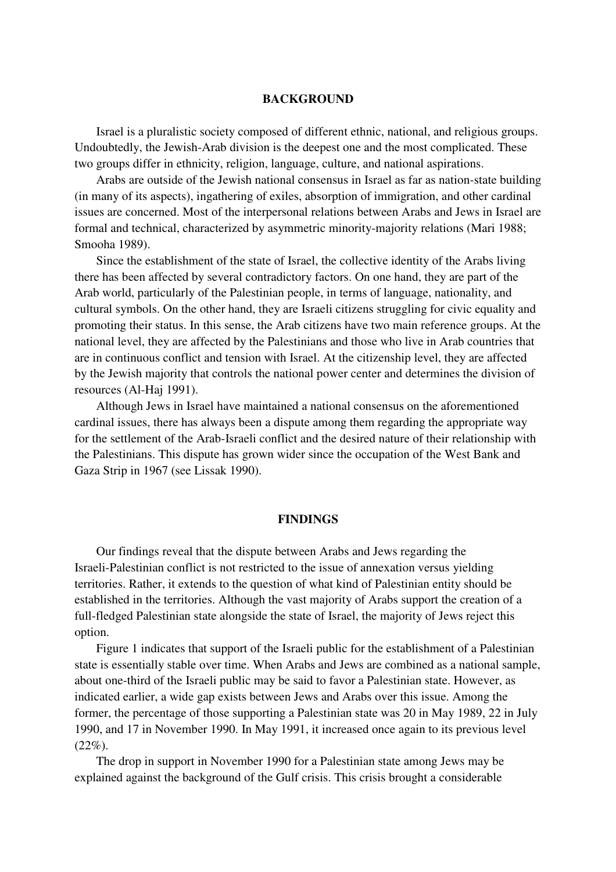#### **BACKGROUND**

Israel is a pluralistic society composed of different ethnic, national, and religious groups. Undoubtedly, the Jewish-Arab division is the deepest one and the most complicated. These two groups differ in ethnicity, religion, language, culture, and national aspirations.

Arabs are outside of the Jewish national consensus in Israel as far as nation-state building (in many of its aspects), ingathering of exiles, absorption of immigration, and other cardinal issues are concerned. Most of the interpersonal relations between Arabs and Jews in Israel are formal and technical, characterized by asymmetric minority-majority relations (Mari 1988; Smooha 1989).

Since the establishment of the state of Israel, the collective identity of the Arabs living there has been affected by several contradictory factors. On one hand, they are part of the Arab world, particularly of the Palestinian people, in terms of language, nationality, and cultural symbols. On the other hand, they are Israeli citizens struggling for civic equality and promoting their status. In this sense, the Arab citizens have two main reference groups. At the national level, they are affected by the Palestinians and those who live in Arab countries that are in continuous conflict and tension with Israel. At the citizenship level, they are affected by the Jewish majority that controls the national power center and determines the division of resources (Al-Haj 1991).

Although Jews in Israel have maintained a national consensus on the aforementioned cardinal issues, there has always been a dispute among them regarding the appropriate way for the settlement of the Arab-Israeli conflict and the desired nature of their relationship with the Palestinians. This dispute has grown wider since the occupation of the West Bank and Gaza Strip in 1967 (see Lissak 1990).

#### **FINDINGS**

Our findings reveal that the dispute between Arabs and Jews regarding the Israeli-Palestinian conflict is not restricted to the issue of annexation versus yielding territories. Rather, it extends to the question of what kind of Palestinian entity should be established in the territories. Although the vast majority of Arabs support the creation of a full-fledged Palestinian state alongside the state of Israel, the majority of Jews reject this option.

Figure 1 indicates that support of the Israeli public for the establishment of a Palestinian state is essentially stable over time. When Arabs and Jews are combined as a national sample, about one-third of the Israeli public may be said to favor a Palestinian state. However, as indicated earlier, a wide gap exists between Jews and Arabs over this issue. Among the former, the percentage of those supporting a Palestinian state was 20 in May 1989, 22 in July 1990, and 17 in November 1990. In May 1991, it increased once again to its previous level  $(22\%)$ .

 The drop in support in November 1990 for a Palestinian state among Jews may be explained against the background of the Gulf crisis. This crisis brought a considerable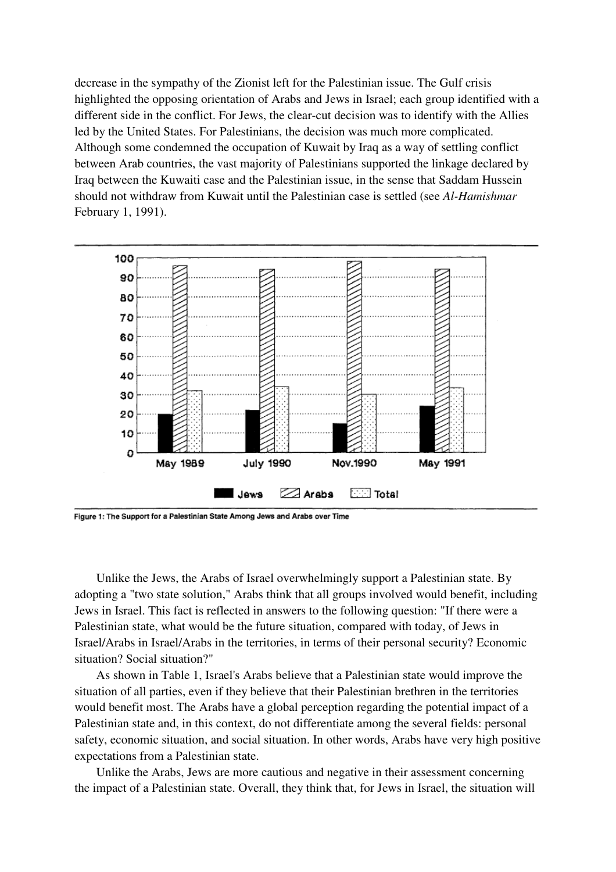decrease in the sympathy of the Zionist left for the Palestinian issue. The Gulf crisis highlighted the opposing orientation of Arabs and Jews in Israel; each group identified with a different side in the conflict. For Jews, the clear-cut decision was to identify with the Allies led by the United States. For Palestinians, the decision was much more complicated. Although some condemned the occupation of Kuwait by Iraq as a way of settling conflict between Arab countries, the vast majority of Palestinians supported the linkage declared by Iraq between the Kuwaiti case and the Palestinian issue, in the sense that Saddam Hussein should not withdraw from Kuwait until the Palestinian case is settled (see *Al-Hamishmar*  February 1, 1991).



Figure 1: The Support for a Palestinian State Among Jews and Arabs over Time

Unlike the Jews, the Arabs of Israel overwhelmingly support a Palestinian state. By adopting a "two state solution," Arabs think that all groups involved would benefit, including Jews in Israel. This fact is reflected in answers to the following question: "If there were a Palestinian state, what would be the future situation, compared with today, of Jews in Israel/Arabs in Israel/Arabs in the territories, in terms of their personal security? Economic situation? Social situation?"

As shown in Table 1, Israel's Arabs believe that a Palestinian state would improve the situation of all parties, even if they believe that their Palestinian brethren in the territories would benefit most. The Arabs have a global perception regarding the potential impact of a Palestinian state and, in this context, do not differentiate among the several fields: personal safety, economic situation, and social situation. In other words, Arabs have very high positive expectations from a Palestinian state.

 Unlike the Arabs, Jews are more cautious and negative in their assessment concerning the impact of a Palestinian state. Overall, they think that, for Jews in Israel, the situation will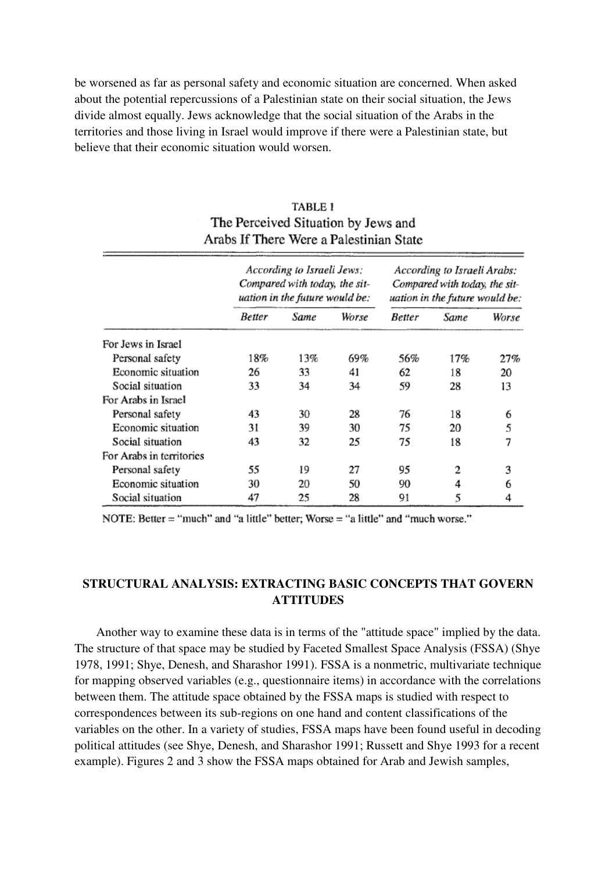be worsened as far as personal safety and economic situation are concerned. When asked about the potential repercussions of a Palestinian state on their social situation, the Jews divide almost equally. Jews acknowledge that the social situation of the Arabs in the territories and those living in Israel would improve if there were a Palestinian state, but believe that their economic situation would worsen.

## TABLE 1 The Perceived Situation by Jews and Arabs If There Were a Palestinian State

|                          |        | According to Israeli Jews:<br>Compared with today, the sit-<br>uation in the future would be: |       |        | According to Israeli Arabs:<br>Compared with today, the sit-<br>uation in the future would be: |       |
|--------------------------|--------|-----------------------------------------------------------------------------------------------|-------|--------|------------------------------------------------------------------------------------------------|-------|
|                          | Better | <b>Same</b>                                                                                   | Worse | Better | Same                                                                                           | Worse |
| For Jews in Israel       |        |                                                                                               |       |        |                                                                                                |       |
| Personal safety          | 18%    | 13%                                                                                           | 69%   | 56%    | 17%                                                                                            | 27%   |
| Economic situation       | 26     | 33                                                                                            | 41    | 62     | 18                                                                                             | 20    |
| Social situation         | 33     | 34                                                                                            | 34    | 59     | 28                                                                                             | 13    |
| For Arabs in Israel      |        |                                                                                               |       |        |                                                                                                |       |
| Personal safety          | 43     | 30                                                                                            | 28    | 76     | 18                                                                                             | 6     |
| Economic situation       | 31     | 39                                                                                            | 30    | 75     | 20                                                                                             | 5     |
| Social situation         | 43     | 32                                                                                            | 25    | 75     | 18                                                                                             | 7     |
| For Arabs in territories |        |                                                                                               |       |        |                                                                                                |       |
| Personal safety          | 55     | 19                                                                                            | 27    | 95     | 2                                                                                              | 3     |
| Economic situation       | 30     | 20                                                                                            | 50    | 90     | 4                                                                                              | 6     |
| Social situation         | 47     | 25                                                                                            | 28    | 91     | 5                                                                                              | 4     |

NOTE: Better = "much" and "a little" better; Worse = "a little" and "much worse."

## **STRUCTURAL ANALYSIS: EXTRACTING BASIC CONCEPTS THAT GOVERN ATTITUDES**

Another way to examine these data is in terms of the "attitude space" implied by the data. The structure of that space may be studied by Faceted Smallest Space Analysis (FSSA) (Shye 1978, 1991; Shye, Denesh, and Sharashor 1991). FSSA is a nonmetric, multivariate technique for mapping observed variables (e.g., questionnaire items) in accordance with the correlations between them. The attitude space obtained by the FSSA maps is studied with respect to correspondences between its sub-regions on one hand and content classifications of the variables on the other. In a variety of studies, FSSA maps have been found useful in decoding political attitudes (see Shye, Denesh, and Sharashor 1991; Russett and Shye 1993 for a recent example). Figures 2 and 3 show the FSSA maps obtained for Arab and Jewish samples,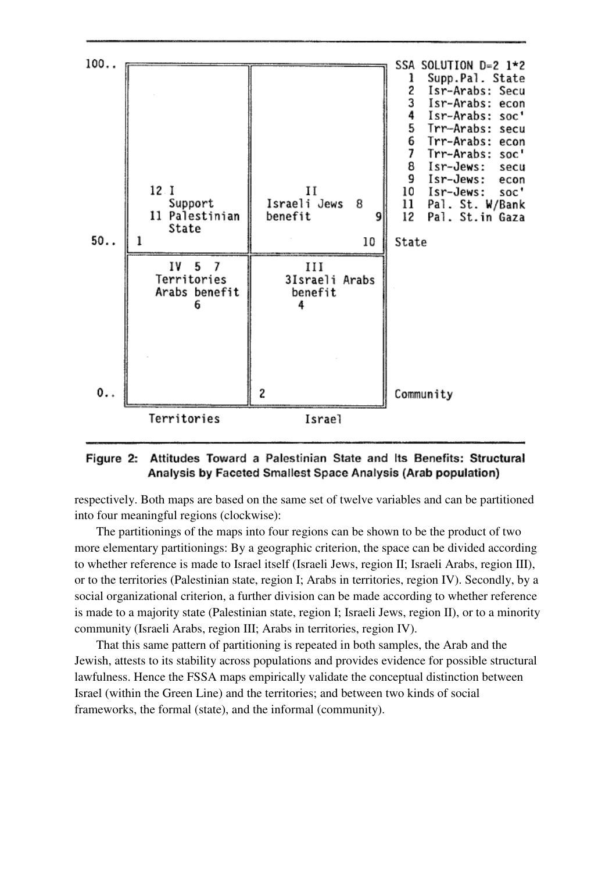

## Figure 2: Attitudes Toward a Palestinian State and Its Benefits: Structural Analysis by Faceted Smallest Space Analysis (Arab population)

respectively. Both maps are based on the same set of twelve variables and can be partitioned into four meaningful regions (clockwise):

The partitionings of the maps into four regions can be shown to be the product of two more elementary partitionings: By a geographic criterion, the space can be divided according to whether reference is made to Israel itself (Israeli Jews, region II; Israeli Arabs, region III), or to the territories (Palestinian state, region I; Arabs in territories, region IV). Secondly, by a social organizational criterion, a further division can be made according to whether reference is made to a majority state (Palestinian state, region I; Israeli Jews, region II), or to a minority community (Israeli Arabs, region III; Arabs in territories, region IV).

That this same pattern of partitioning is repeated in both samples, the Arab and the Jewish, attests to its stability across populations and provides evidence for possible structural lawfulness. Hence the FSSA maps empirically validate the conceptual distinction between Israel (within the Green Line) and the territories; and between two kinds of social frameworks, the formal (state), and the informal (community).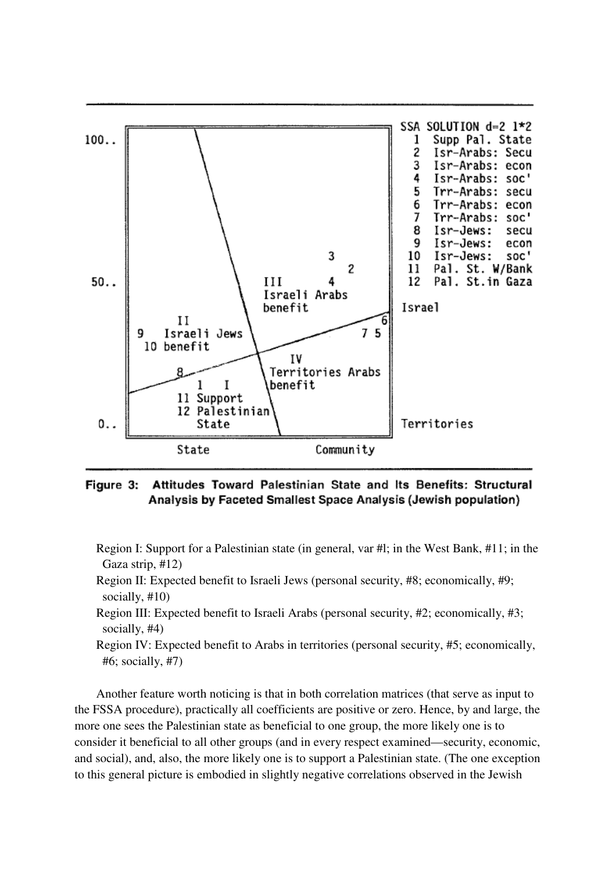

#### Attitudes Toward Palestinian State and Its Benefits: Structural Figure 3: Analysis by Faceted Smallest Space Analysis (Jewish population)

- Region I: Support for a Palestinian state (in general, var #l; in the West Bank, #11; in the Gaza strip, #12)
- Region II: Expected benefit to Israeli Jews (personal security, #8; economically, #9; socially, #10)
- Region III: Expected benefit to Israeli Arabs (personal security, #2; economically, #3; socially, #4)
- Region IV: Expected benefit to Arabs in territories (personal security, #5; economically, #6; socially, #7)

Another feature worth noticing is that in both correlation matrices (that serve as input to the FSSA procedure), practically all coefficients are positive or zero. Hence, by and large, the more one sees the Palestinian state as beneficial to one group, the more likely one is to consider it beneficial to all other groups (and in every respect examined—security, economic, and social), and, also, the more likely one is to support a Palestinian state. (The one exception to this general picture is embodied in slightly negative correlations observed in the Jewish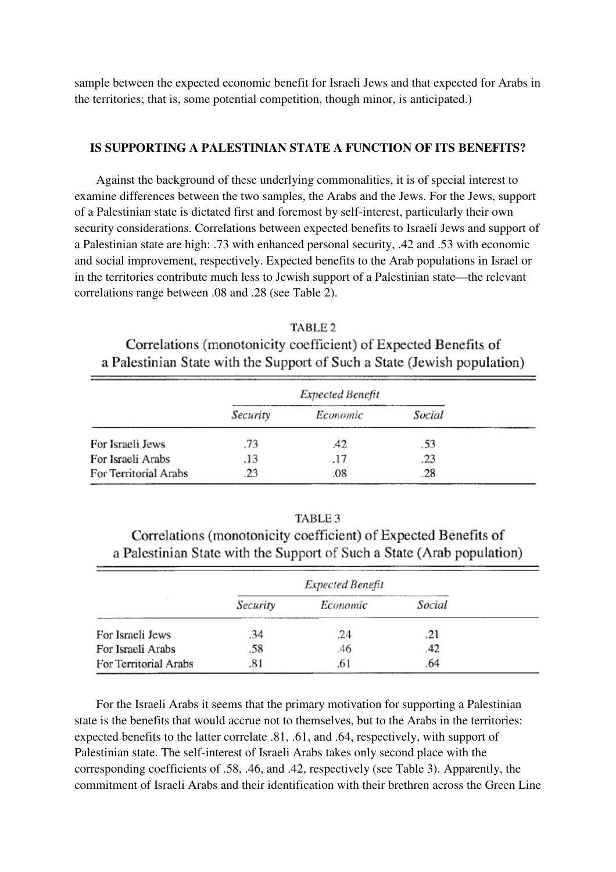sample between the expected economic benefit for Israeli Jews and that expected for Arabs in the territories; that is, some potential competition, though minor, is anticipated.)

#### **IS SUPPORTING A PALESTINIAN STATE A FUNCTION OF ITS BENEFITS?**

 Against the background of these underlying commonalities, it is of special interest to examine differences between the two samples, the Arabs and the Jews. For the Jews, support of a Palestinian state is dictated first and foremost by self-interest, particularly their own security considerations. Correlations between expected benefits to Israeli Jews and support of a Palestinian state are high: .73 with enhanced personal security, .42 and .53 with economic and social improvement, respectively. Expected benefits to the Arab populations in Israel or in the territories contribute much less to Jewish support of a Palestinian state—the relevant correlations range between .08 and .28 (see Table 2).

TABLE<sub>2</sub> Correlations (monotonicity coefficient) of Expected Benefits of a Palestinian State with the Support of Such a State (Jewish population)

|                       | Expected Benefit |          |        |
|-----------------------|------------------|----------|--------|
|                       | Security         | Economic | Social |
| For Israeli Jews      | .73              | .42      | .53    |
| For Israeli Arabs     | .13              | .17      | .23    |
| For Territorial Arabs | .23              | .08      | .28    |

| [ABLE 3 |  |  |
|---------|--|--|
|         |  |  |

Correlations (monotonicity coefficient) of Expected Benefits of a Palestinian State with the Support of Such a State (Arab population)

|                       |          | Expected Benefit |        |
|-----------------------|----------|------------------|--------|
|                       | Security | Economic         | Social |
| For Israeli Jews      | .34      | .24              | .21    |
| For Israeli Arabs     | .58      | .46              |        |
| For Territorial Arabs | .81      |                  | .64    |

For the Israeli Arabs it seems that the primary motivation for supporting a Palestinian state is the benefits that would accrue not to themselves, but to the Arabs in the territories: expected benefits to the latter correlate .81, .61, and .64, respectively, with support of Palestinian state. The self-interest of Israeli Arabs takes only second place with the corresponding coefficients of .58, .46, and .42, respectively (see Table 3). Apparently, the commitment of Israeli Arabs and their identification with their brethren across the Green Line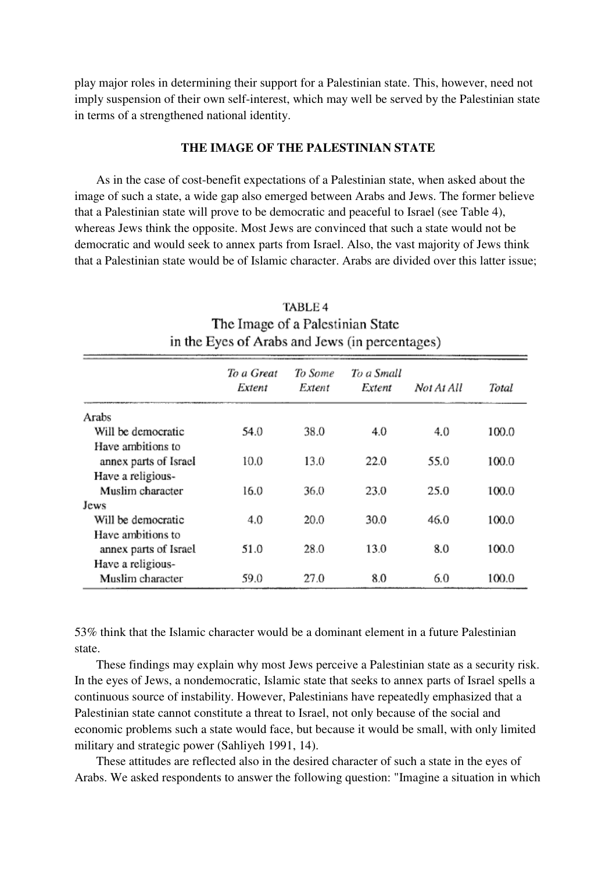play major roles in determining their support for a Palestinian state. This, however, need not imply suspension of their own self-interest, which may well be served by the Palestinian state in terms of a strengthened national identity.

#### **THE IMAGE OF THE PALESTINIAN STATE**

As in the case of cost-benefit expectations of a Palestinian state, when asked about the image of such a state, a wide gap also emerged between Arabs and Jews. The former believe that a Palestinian state will prove to be democratic and peaceful to Israel (see Table 4), whereas Jews think the opposite. Most Jews are convinced that such a state would not be democratic and would seek to annex parts from Israel. Also, the vast majority of Jews think that a Palestinian state would be of Islamic character. Arabs are divided over this latter issue;

|                       | To a Great<br>Extent | To Some<br>Extent | To a Small<br>Extent | Not At All | Total |
|-----------------------|----------------------|-------------------|----------------------|------------|-------|
| Arabs                 |                      |                   |                      |            |       |
| Will be democratic    | 54.0                 | 38.0              | 4.0                  | 4.0        | 100.0 |
| Have ambitions to     |                      |                   |                      |            |       |
| annex parts of Israel | 10.0                 | 13.0              | 22.0                 | 55.0       | 100.0 |
| Have a religious-     |                      |                   |                      |            |       |
| Muslim character      | 16.0                 | 36.0              | 23.0                 | 25.0       | 100.0 |
| Jews                  |                      |                   |                      |            |       |
| Will be democratic    | 4.0                  | 20.0              | 30.0                 | 46.0       | 100.0 |
| Have ambitions to     |                      |                   |                      |            |       |
| annex parts of Israel | 51.0                 | 28.0              | 13.0                 | 8.0        | 100.0 |
| Have a religious-     |                      |                   |                      |            |       |
| Muslim character      | 59.0                 | 27.0              | 8.0                  | 6.0        | 100.0 |
|                       |                      |                   |                      |            |       |

TABLE 4 The Image of a Palestinian State in the Eves of Arabs and Jews (in percentages)

53% think that the Islamic character would be a dominant element in a future Palestinian state.

These findings may explain why most Jews perceive a Palestinian state as a security risk. In the eyes of Jews, a nondemocratic, Islamic state that seeks to annex parts of Israel spells a continuous source of instability. However, Palestinians have repeatedly emphasized that a Palestinian state cannot constitute a threat to Israel, not only because of the social and economic problems such a state would face, but because it would be small, with only limited military and strategic power (Sahliyeh 1991, 14).

These attitudes are reflected also in the desired character of such a state in the eyes of Arabs. We asked respondents to answer the following question: "Imagine a situation in which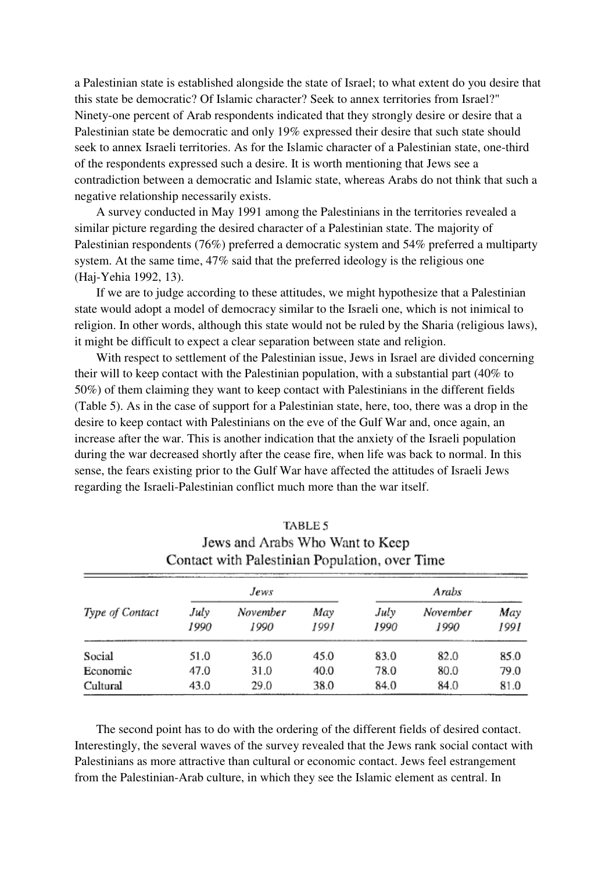a Palestinian state is established alongside the state of Israel; to what extent do you desire that this state be democratic? Of Islamic character? Seek to annex territories from Israel?" Ninety-one percent of Arab respondents indicated that they strongly desire or desire that a Palestinian state be democratic and only 19% expressed their desire that such state should seek to annex Israeli territories. As for the Islamic character of a Palestinian state, one-third of the respondents expressed such a desire. It is worth mentioning that Jews see a contradiction between a democratic and Islamic state, whereas Arabs do not think that such a negative relationship necessarily exists.

A survey conducted in May 1991 among the Palestinians in the territories revealed a similar picture regarding the desired character of a Palestinian state. The majority of Palestinian respondents (76%) preferred a democratic system and 54% preferred a multiparty system. At the same time, 47% said that the preferred ideology is the religious one (Haj-Yehia 1992, 13).

If we are to judge according to these attitudes, we might hypothesize that a Palestinian state would adopt a model of democracy similar to the Israeli one, which is not inimical to religion. In other words, although this state would not be ruled by the Sharia (religious laws), it might be difficult to expect a clear separation between state and religion.

With respect to settlement of the Palestinian issue, Jews in Israel are divided concerning their will to keep contact with the Palestinian population, with a substantial part (40% to 50%) of them claiming they want to keep contact with Palestinians in the different fields (Table 5). As in the case of support for a Palestinian state, here, too, there was a drop in the desire to keep contact with Palestinians on the eve of the Gulf War and, once again, an increase after the war. This is another indication that the anxiety of the Israeli population during the war decreased shortly after the cease fire, when life was back to normal. In this sense, the fears existing prior to the Gulf War have affected the attitudes of Israeli Jews regarding the Israeli-Palestinian conflict much more than the war itself.

|                 |              | Contact with Palestinian Population, over Time |             |              |                  |             |
|-----------------|--------------|------------------------------------------------|-------------|--------------|------------------|-------------|
|                 |              | Jews                                           |             |              | Arabs            |             |
| Type of Contact | July<br>1990 | November<br>1990                               | May<br>1991 | July<br>1990 | November<br>1990 | May<br>1991 |
| Social          | 51.0         | 36.0                                           | 45.0        | 83.0         | 82.0             | 85.0        |
| Economic        | 47.0         | 31.0                                           | 40.0        | 78.0         | 80.0             | 79.0        |
| Cultural        | 43.0         | 29.0                                           | 38.0        | 84.0         | 84.0             | 81.0        |

# TABLE 5 Jews and Arabs Who Want to Keen

The second point has to do with the ordering of the different fields of desired contact. Interestingly, the several waves of the survey revealed that the Jews rank social contact with Palestinians as more attractive than cultural or economic contact. Jews feel estrangement from the Palestinian-Arab culture, in which they see the Islamic element as central. In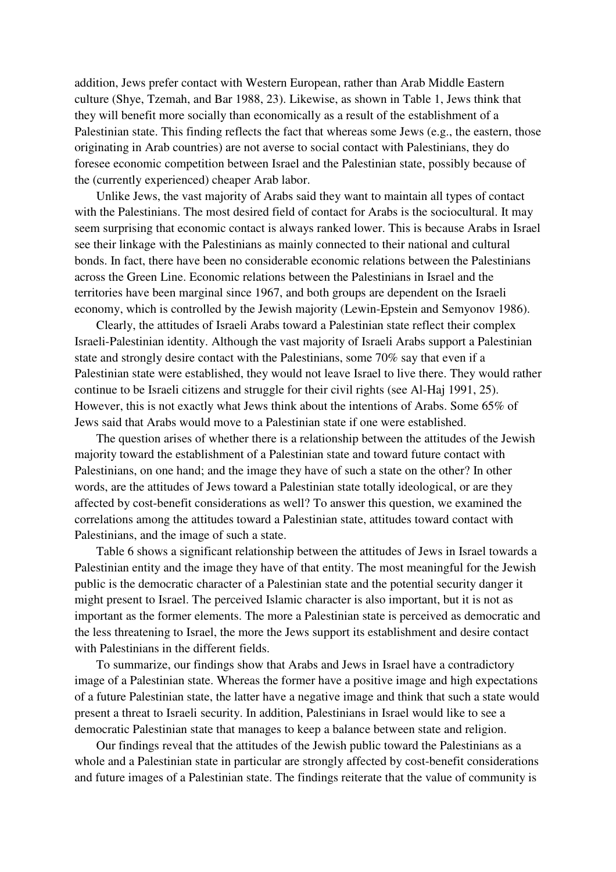addition, Jews prefer contact with Western European, rather than Arab Middle Eastern culture (Shye, Tzemah, and Bar 1988, 23). Likewise, as shown in Table 1, Jews think that they will benefit more socially than economically as a result of the establishment of a Palestinian state. This finding reflects the fact that whereas some Jews (e.g., the eastern, those originating in Arab countries) are not averse to social contact with Palestinians, they do foresee economic competition between Israel and the Palestinian state, possibly because of the (currently experienced) cheaper Arab labor.

Unlike Jews, the vast majority of Arabs said they want to maintain all types of contact with the Palestinians. The most desired field of contact for Arabs is the sociocultural. It may seem surprising that economic contact is always ranked lower. This is because Arabs in Israel see their linkage with the Palestinians as mainly connected to their national and cultural bonds. In fact, there have been no considerable economic relations between the Palestinians across the Green Line. Economic relations between the Palestinians in Israel and the territories have been marginal since 1967, and both groups are dependent on the Israeli economy, which is controlled by the Jewish majority (Lewin-Epstein and Semyonov 1986).

Clearly, the attitudes of Israeli Arabs toward a Palestinian state reflect their complex Israeli-Palestinian identity. Although the vast majority of Israeli Arabs support a Palestinian state and strongly desire contact with the Palestinians, some 70% say that even if a Palestinian state were established, they would not leave Israel to live there. They would rather continue to be Israeli citizens and struggle for their civil rights (see Al-Haj 1991, 25). However, this is not exactly what Jews think about the intentions of Arabs. Some 65% of Jews said that Arabs would move to a Palestinian state if one were established.

The question arises of whether there is a relationship between the attitudes of the Jewish majority toward the establishment of a Palestinian state and toward future contact with Palestinians, on one hand; and the image they have of such a state on the other? In other words, are the attitudes of Jews toward a Palestinian state totally ideological, or are they affected by cost-benefit considerations as well? To answer this question, we examined the correlations among the attitudes toward a Palestinian state, attitudes toward contact with Palestinians, and the image of such a state.

Table 6 shows a significant relationship between the attitudes of Jews in Israel towards a Palestinian entity and the image they have of that entity. The most meaningful for the Jewish public is the democratic character of a Palestinian state and the potential security danger it might present to Israel. The perceived Islamic character is also important, but it is not as important as the former elements. The more a Palestinian state is perceived as democratic and the less threatening to Israel, the more the Jews support its establishment and desire contact with Palestinians in the different fields.

To summarize, our findings show that Arabs and Jews in Israel have a contradictory image of a Palestinian state. Whereas the former have a positive image and high expectations of a future Palestinian state, the latter have a negative image and think that such a state would present a threat to Israeli security. In addition, Palestinians in Israel would like to see a democratic Palestinian state that manages to keep a balance between state and religion.

Our findings reveal that the attitudes of the Jewish public toward the Palestinians as a whole and a Palestinian state in particular are strongly affected by cost-benefit considerations and future images of a Palestinian state. The findings reiterate that the value of community is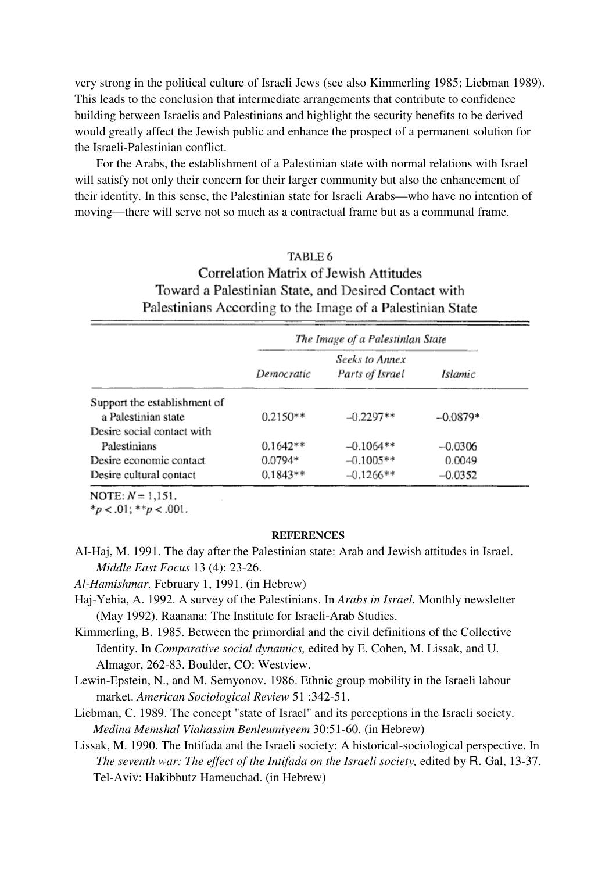very strong in the political culture of Israeli Jews (see also Kimmerling 1985; Liebman 1989). This leads to the conclusion that intermediate arrangements that contribute to confidence building between Israelis and Palestinians and highlight the security benefits to be derived would greatly affect the Jewish public and enhance the prospect of a permanent solution for the Israeli-Palestinian conflict.

For the Arabs, the establishment of a Palestinian state with normal relations with Israel will satisfy not only their concern for their larger community but also the enhancement of their identity. In this sense, the Palestinian state for Israeli Arabs—who have no intention of moving—there will serve not so much as a contractual frame but as a communal frame.

## TABLE 6 Correlation Matrix of Jewish Attitudes

## Toward a Palestinian State, and Desired Contact with Palestinians According to the Image of a Palestinian State

|                              | The Image of a Palestinian State |                                          |            |  |  |
|------------------------------|----------------------------------|------------------------------------------|------------|--|--|
|                              | Democratic                       | <b>Seeks to Annex</b><br>Parts of Israel | Islamic    |  |  |
| Support the establishment of |                                  |                                          |            |  |  |
| a Palestinian state          | $0.2150**$                       | $-0.2297**$                              | $-0.0879*$ |  |  |
| Desire social contact with   |                                  |                                          |            |  |  |
| Palestinians                 | $0.1642**$                       | $-0.1064**$                              | $-0.0306$  |  |  |
| Desire economic contact      | $0.0794*$                        | $-0.1005**$                              | 0.0049     |  |  |
| Desire cultural contact      | $0.1843**$                       | $-0.1266**$                              | $-0.0352$  |  |  |

NOTE:  $N = 1.151$ .

\* $p < .01$ ; \*\* $p < .001$ .

#### **REFERENCES**

AI-Haj, M. 1991. The day after the Palestinian state: Arab and Jewish attitudes in Israel. *Middle East Focus* 13 (4): 23-26.

*Al-Hamishmar.* February 1, 1991. (in Hebrew)

- Haj-Yehia, A. 1992. A survey of the Palestinians. In *Arabs in Israel.* Monthly newsletter (May 1992). Raanana: The Institute for Israeli-Arab Studies.
- Kimmerling, B. 1985. Between the primordial and the civil definitions of the Collective Identity. In *Comparative social dynamics,* edited by E. Cohen, M. Lissak, and U. Almagor, 262-83. Boulder, CO: Westview.
- Lewin-Epstein, N., and M. Semyonov. 1986. Ethnic group mobility in the Israeli labour market. *American Sociological Review* 51 :342-51.
- Liebman, C. 1989. The concept "state of Israel" and its perceptions in the Israeli society. *Medina Memshal Viahassim Benleumiyeem* 30:51-60. (in Hebrew)
- Lissak, M. 1990. The Intifada and the Israeli society: A historical-sociological perspective. In *The seventh war: The effect of the Intifada on the Israeli society, edited by R. Gal, 13-37.* Tel-Aviv: Hakibbutz Hameuchad. (in Hebrew)